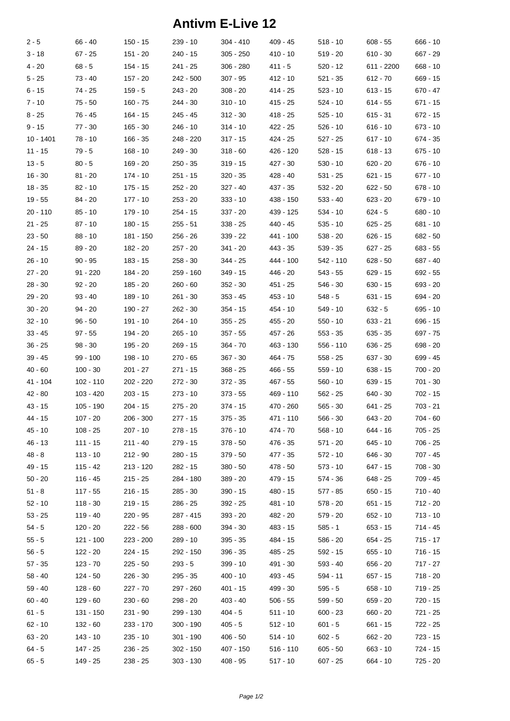## **Antivm E-Live 12**

| $2 - 5$    | 66 - 40    | $150 - 15$  | $239 - 10$  | 304 - 410   | $409 - 45$  | $518 - 10$ | $608 - 55$ | $666 - 10$ |
|------------|------------|-------------|-------------|-------------|-------------|------------|------------|------------|
| $3 - 18$   | $67 - 25$  | $151 - 20$  | $240 - 15$  | $305 - 250$ | $410 - 10$  | $519 - 20$ | $610 - 30$ | 667 - 29   |
| $4 - 20$   | $68 - 5$   | $154 - 15$  | $241 - 25$  | $306 - 280$ | $411 - 5$   | $520 - 12$ | 611 - 2200 | $668 - 10$ |
| $5 - 25$   | 73 - 40    | 157 - 20    | 242 - 500   | $307 - 95$  | $412 - 10$  | $521 - 35$ | 612 - 70   | 669 - 15   |
| $6 - 15$   | 74 - 25    | $159 - 5$   | $243 - 20$  | 308 - 20    | $414 - 25$  | $523 - 10$ | 613 - 15   | 670 - 47   |
| $7 - 10$   | 75 - 50    | $160 - 75$  | $244 - 30$  | $310 - 10$  | $415 - 25$  | $524 - 10$ | $614 - 55$ | $671 - 15$ |
| $8 - 25$   | 76 - 45    | 164 - 15    | 245 - 45    | $312 - 30$  | 418 - 25    | $525 - 10$ | $615 - 31$ | $672 - 15$ |
| $9 - 15$   | $77 - 30$  | $165 - 30$  | $246 - 10$  | 314 - 10    | 422 - 25    | $526 - 10$ | 616 - 10   | 673 - 10   |
| 10 - 1401  | 78 - 10    | $166 - 35$  | 248 - 220   | 317 - 15    | $424 - 25$  | $527 - 25$ | 617 - 10   | $674 - 35$ |
| 11 - 15    | 79 - 5     | $168 - 10$  | $249 - 30$  | $318 - 60$  | 426 - 120   | $528 - 15$ | $618 - 13$ | $675 - 10$ |
| $13 - 5$   | $80 - 5$   | 169 - 20    | $250 - 35$  | 319 - 15    | $427 - 30$  | $530 - 10$ | 620 - 20   | $676 - 10$ |
| $16 - 30$  | 81 - 20    | $174 - 10$  | $251 - 15$  | 320 - 35    | 428 - 40    | $531 - 25$ | 621 - 15   | 677 - 10   |
| 18 - 35    | 82 - 10    | 175 - 15    | $252 - 20$  | 327 - 40    | 437 - 35    | $532 - 20$ | 622 - 50   | $678 - 10$ |
| $19 - 55$  | $84 - 20$  | $177 - 10$  | $253 - 20$  | 333 - 10    | 438 - 150   | $533 - 40$ | 623 - 20   | $679 - 10$ |
| $20 - 110$ | $85 - 10$  | $179 - 10$  | $254 - 15$  | $337 - 20$  | 439 - 125   | $534 - 10$ | $624 - 5$  | $680 - 10$ |
| $21 - 25$  | 87 - 10    | 180 - 15    | $255 - 51$  | 338 - 25    | 440 - 45    | $535 - 10$ | $625 - 25$ | $681 - 10$ |
| $23 - 50$  | 88 - 10    | 181 - 150   | 256 - 26    | $339 - 22$  | 441 - 100   | $538 - 20$ | 626 - 15   | $682 - 50$ |
| $24 - 15$  | 89 - 20    | $182 - 20$  | $257 - 20$  | 341 - 20    | 443 - 35    | $539 - 35$ | 627 - 25   | $683 - 55$ |
| $26 - 10$  | $90 - 95$  | $183 - 15$  | $258 - 30$  | 344 - 25    | 444 - 100   | 542 - 110  | 628 - 50   | $687 - 40$ |
| $27 - 20$  | $91 - 220$ | 184 - 20    | 259 - 160   | 349 - 15    | 446 - 20    | $543 - 55$ | $629 - 15$ | 692 - 55   |
| $28 - 30$  | $92 - 20$  | 185 - 20    | $260 - 60$  | 352 - 30    | 451 - 25    | $546 - 30$ | 630 - 15   | $693 - 20$ |
| $29 - 20$  | $93 - 40$  | 189 - 10    | $261 - 30$  | $353 - 45$  | $453 - 10$  | $548 - 5$  | 631 - 15   | 694 - 20   |
| $30 - 20$  | $94 - 20$  | 190 - 27    | $262 - 30$  | 354 - 15    | $454 - 10$  | $549 - 10$ | $632 - 5$  | $695 - 10$ |
| $32 - 10$  | $96 - 50$  | $191 - 10$  | $264 - 10$  | $355 - 25$  | 455 - 20    | $550 - 10$ | $633 - 21$ | 696 - 15   |
| $33 - 45$  | $97 - 55$  | 194 - 20    | $265 - 10$  | $357 - 55$  | $457 - 26$  | $553 - 35$ | 635 - 35   | 697 - 75   |
| $36 - 25$  | $98 - 30$  | 195 - 20    | $269 - 15$  | 364 - 70    | 463 - 130   | 556 - 110  | 636 - 25   | 698 - 20   |
| $39 - 45$  | $99 - 100$ | 198 - 10    | $270 - 65$  | 367 - 30    | 464 - 75    | $558 - 25$ | 637 - 30   | 699 - 45   |
| $40 - 60$  | $100 - 30$ | $201 - 27$  | 271 - 15    | 368 - 25    | $466 - 55$  | $559 - 10$ | $638 - 15$ | $700 - 20$ |
| 41 - 104   | 102 - 110  | 202 - 220   | $272 - 30$  | 372 - 35    | 467 - 55    | $560 - 10$ | $639 - 15$ | $701 - 30$ |
| $42 - 80$  | 103 - 420  | $203 - 15$  | $273 - 10$  | $373 - 55$  | 469 - 110   | $562 - 25$ | 640 - 30   | 702 - 15   |
| $43 - 15$  | 105 - 190  | $204 - 15$  | $275 - 20$  | 374 - 15    | 470 - 260   | $565 - 30$ | $641 - 25$ | $703 - 21$ |
| 44 - 15    | 107 - 20   | $206 - 300$ | $277 - 15$  | $375 - 35$  | 471 - 110   | $566 - 30$ | 643 - 20   | 704 - 60   |
| $45 - 10$  | $108 - 25$ | $207 - 10$  | 278 - 15    | $376 - 10$  | 474 - 70    | $568 - 10$ | $644 - 16$ | $705 - 25$ |
| $46 - 13$  | $111 - 15$ | $211 - 40$  | $279 - 15$  | $378 - 50$  | 476 - 35    | $571 - 20$ | $645 - 10$ | 706 - 25   |
| $48 - 8$   | $113 - 10$ | $212 - 90$  | 280 - 15    | $379 - 50$  | $477 - 35$  | $572 - 10$ | 646 - 30   | 707 - 45   |
| $49 - 15$  | $115 - 42$ | 213 - 120   | 282 - 15    | 380 - 50    | $478 - 50$  | $573 - 10$ | 647 - 15   | $708 - 30$ |
| $50 - 20$  | $116 - 45$ | $215 - 25$  | 284 - 180   | $389 - 20$  | 479 - 15    | 574 - 36   | 648 - 25   | $709 - 45$ |
| $51 - 8$   | $117 - 55$ | $216 - 15$  | $285 - 30$  | 390 - 15    | $480 - 15$  | 577 - 85   | $650 - 15$ | 710 - 40   |
| $52 - 10$  | $118 - 30$ | $219 - 15$  | $286 - 25$  | 392 - 25    | 481 - 10    | $578 - 20$ | $651 - 15$ | $712 - 20$ |
| $53 - 25$  | $119 - 40$ | 220 - 95    | 287 - 415   | 393 - 20    | 482 - 20    | $579 - 20$ | $652 - 10$ | $713 - 10$ |
| $54 - 5$   | $120 - 20$ | $222 - 56$  | $288 - 600$ | 394 - 30    | 483 - 15    | $585 - 1$  | $653 - 15$ | 714 - 45   |
| $55 - 5$   | 121 - 100  | $223 - 200$ | $289 - 10$  | 395 - 35    | 484 - 15    | $586 - 20$ | 654 - 25   | $715 - 17$ |
| $56 - 5$   | 122 - 20   | $224 - 15$  | 292 - 150   | 396 - 35    | 485 - 25    | $592 - 15$ | $655 - 10$ | 716 - 15   |
| $57 - 35$  | $123 - 70$ | $225 - 50$  | $293 - 5$   | 399 - 10    | 491 - 30    | $593 - 40$ | 656 - 20   | $717 - 27$ |
| $58 - 40$  | 124 - 50   | $226 - 30$  | 295 - 35    | 400 - 10    | 493 - 45    | 594 - 11   | 657 - 15   | 718 - 20   |
| $59 - 40$  | $128 - 60$ | $227 - 70$  | 297 - 260   | 401 - 15    | 499 - 30    | $595 - 5$  | $658 - 10$ | 719 - 25   |
| $60 - 40$  | 129 - 60   | $230 - 60$  | 298 - 20    | 403 - 40    | $506 - 55$  | $599 - 50$ | 659 - 20   | 720 - 15   |
| $61 - 5$   | 131 - 150  | $231 - 90$  | 299 - 130   | $404 - 5$   | $511 - 10$  | $600 - 23$ | 660 - 20   | 721 - 25   |
| $62 - 10$  | 132 - 60   | 233 - 170   | $300 - 190$ | $405 - 5$   | $512 - 10$  | $601 - 5$  | 661 - 15   | 722 - 25   |
| $63 - 20$  | $143 - 10$ | $235 - 10$  | $301 - 190$ | $406 - 50$  | $514 - 10$  | $602 - 5$  | 662 - 20   | 723 - 15   |
| $64 - 5$   | 147 - 25   | $236 - 25$  | $302 - 150$ | 407 - 150   | $516 - 110$ | $605 - 50$ | $663 - 10$ | 724 - 15   |
| $65 - 5$   | 149 - 25   | 238 - 25    | $303 - 130$ | 408 - 95    | $517 - 10$  | $607 - 25$ | 664 - 10   | 725 - 20   |
|            |            |             |             |             |             |            |            |            |